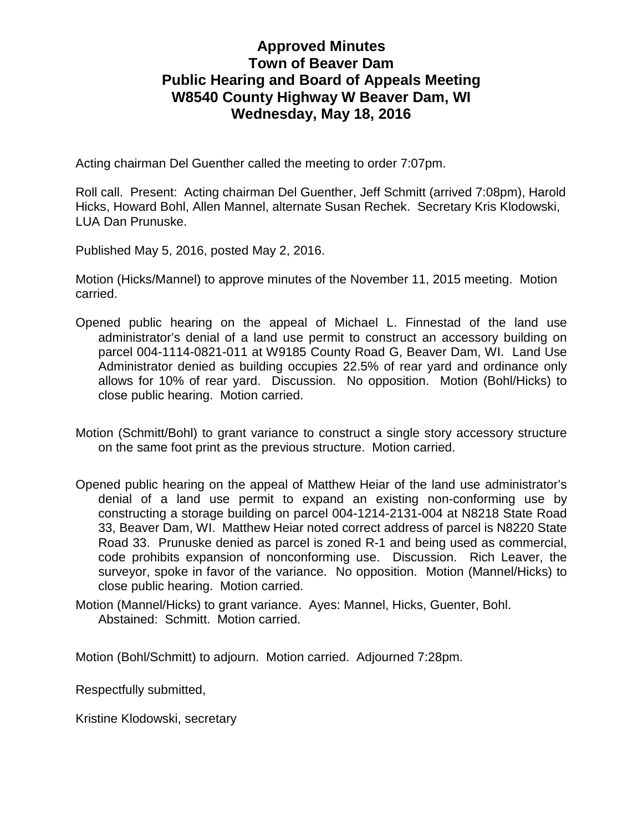## **Approved Minutes Town of Beaver Dam Public Hearing and Board of Appeals Meeting W8540 County Highway W Beaver Dam, WI Wednesday, May 18, 2016**

Acting chairman Del Guenther called the meeting to order 7:07pm.

Roll call. Present: Acting chairman Del Guenther, Jeff Schmitt (arrived 7:08pm), Harold Hicks, Howard Bohl, Allen Mannel, alternate Susan Rechek. Secretary Kris Klodowski, LUA Dan Prunuske.

Published May 5, 2016, posted May 2, 2016.

Motion (Hicks/Mannel) to approve minutes of the November 11, 2015 meeting. Motion carried.

- Opened public hearing on the appeal of Michael L. Finnestad of the land use administrator's denial of a land use permit to construct an accessory building on parcel 004-1114-0821-011 at W9185 County Road G, Beaver Dam, WI. Land Use Administrator denied as building occupies 22.5% of rear yard and ordinance only allows for 10% of rear yard. Discussion. No opposition. Motion (Bohl/Hicks) to close public hearing. Motion carried.
- Motion (Schmitt/Bohl) to grant variance to construct a single story accessory structure on the same foot print as the previous structure. Motion carried.
- Opened public hearing on the appeal of Matthew Heiar of the land use administrator's denial of a land use permit to expand an existing non-conforming use by constructing a storage building on parcel 004-1214-2131-004 at N8218 State Road 33, Beaver Dam, WI. Matthew Heiar noted correct address of parcel is N8220 State Road 33. Prunuske denied as parcel is zoned R-1 and being used as commercial, code prohibits expansion of nonconforming use. Discussion. Rich Leaver, the surveyor, spoke in favor of the variance. No opposition. Motion (Mannel/Hicks) to close public hearing. Motion carried.
- Motion (Mannel/Hicks) to grant variance. Ayes: Mannel, Hicks, Guenter, Bohl. Abstained: Schmitt. Motion carried.

Motion (Bohl/Schmitt) to adjourn. Motion carried. Adjourned 7:28pm.

Respectfully submitted,

Kristine Klodowski, secretary